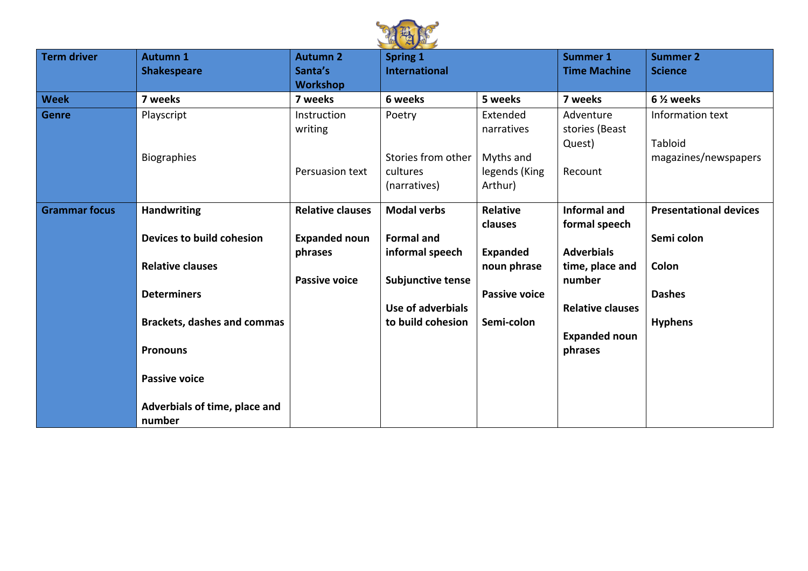

| <b>Term driver</b>   | <b>Autumn 1</b><br><b>Shakespeare</b> | <b>Autumn 2</b><br>Santa's | <b>Spring 1</b><br><b>International</b> |                      | <b>Summer 1</b><br><b>Time Machine</b> | <b>Summer 2</b><br><b>Science</b> |
|----------------------|---------------------------------------|----------------------------|-----------------------------------------|----------------------|----------------------------------------|-----------------------------------|
|                      |                                       | <b>Workshop</b>            |                                         |                      |                                        |                                   |
| <b>Week</b>          | 7 weeks                               | 7 weeks                    | 6 weeks                                 | 5 weeks              | 7 weeks                                | 6 1/ <sub>2</sub> weeks           |
| <b>Genre</b>         | Playscript                            | Instruction                | Poetry                                  | Extended             | Adventure                              | Information text                  |
|                      |                                       | writing                    |                                         | narratives           | stories (Beast                         |                                   |
|                      |                                       |                            |                                         |                      | Quest)                                 | Tabloid                           |
|                      | <b>Biographies</b>                    |                            | Stories from other                      | Myths and            |                                        | magazines/newspapers              |
|                      |                                       | Persuasion text            | cultures                                | legends (King        | Recount                                |                                   |
|                      |                                       |                            | (narratives)                            | Arthur)              |                                        |                                   |
| <b>Grammar focus</b> | <b>Handwriting</b>                    | <b>Relative clauses</b>    | <b>Modal verbs</b>                      | Relative             | <b>Informal and</b>                    | <b>Presentational devices</b>     |
|                      |                                       |                            |                                         | <b>clauses</b>       | formal speech                          |                                   |
|                      | Devices to build cohesion             | <b>Expanded noun</b>       | <b>Formal and</b>                       |                      |                                        | Semi colon                        |
|                      |                                       | phrases                    | informal speech                         | <b>Expanded</b>      | <b>Adverbials</b>                      |                                   |
|                      | <b>Relative clauses</b>               |                            |                                         | noun phrase          | time, place and                        | Colon                             |
|                      |                                       | <b>Passive voice</b>       | <b>Subjunctive tense</b>                |                      | number                                 |                                   |
|                      | <b>Determiners</b>                    |                            |                                         | <b>Passive voice</b> |                                        | <b>Dashes</b>                     |
|                      |                                       |                            | Use of adverbials                       |                      | <b>Relative clauses</b>                |                                   |
|                      | <b>Brackets, dashes and commas</b>    |                            | to build cohesion                       | Semi-colon           |                                        | <b>Hyphens</b>                    |
|                      |                                       |                            |                                         |                      | <b>Expanded noun</b>                   |                                   |
|                      | <b>Pronouns</b>                       |                            |                                         |                      | phrases                                |                                   |
|                      |                                       |                            |                                         |                      |                                        |                                   |
|                      | <b>Passive voice</b>                  |                            |                                         |                      |                                        |                                   |
|                      |                                       |                            |                                         |                      |                                        |                                   |
|                      | Adverbials of time, place and         |                            |                                         |                      |                                        |                                   |
|                      | number                                |                            |                                         |                      |                                        |                                   |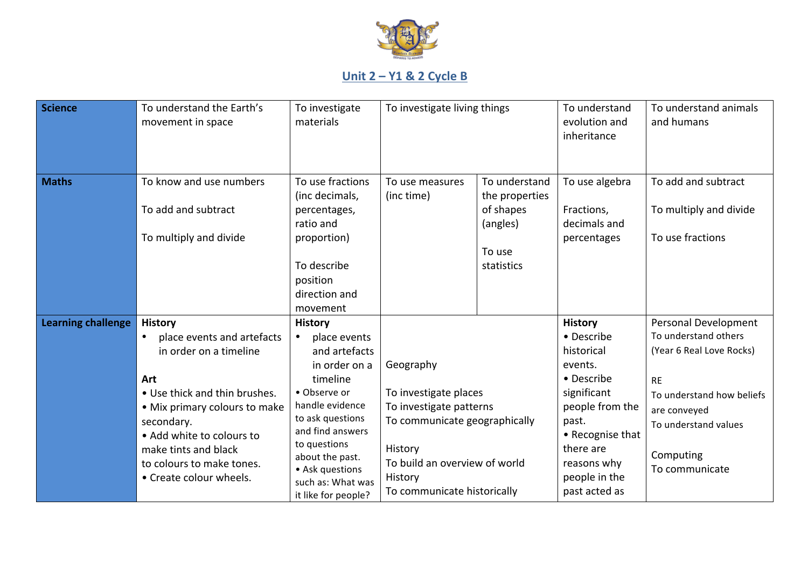

## **Unit 2 – Y1 & 2 Cycle B**

| <b>Science</b>            | To understand the Earth's<br>movement in space                                                                                                                                                                                                                             | To investigate<br>materials                                                                                                                                                                                                                               | To investigate living things                                                                                                                                                         |                                                          | To understand<br>evolution and<br>inheritance                                                                                                                                                    | To understand animals<br>and humans                                                                                                                                                       |
|---------------------------|----------------------------------------------------------------------------------------------------------------------------------------------------------------------------------------------------------------------------------------------------------------------------|-----------------------------------------------------------------------------------------------------------------------------------------------------------------------------------------------------------------------------------------------------------|--------------------------------------------------------------------------------------------------------------------------------------------------------------------------------------|----------------------------------------------------------|--------------------------------------------------------------------------------------------------------------------------------------------------------------------------------------------------|-------------------------------------------------------------------------------------------------------------------------------------------------------------------------------------------|
| <b>Maths</b>              | To know and use numbers<br>To add and subtract                                                                                                                                                                                                                             | To use fractions<br>(inc decimals,<br>percentages,<br>ratio and                                                                                                                                                                                           | To use measures<br>(inc time)                                                                                                                                                        | To understand<br>the properties<br>of shapes<br>(angles) | To use algebra<br>Fractions,<br>decimals and                                                                                                                                                     | To add and subtract<br>To multiply and divide                                                                                                                                             |
|                           | To multiply and divide                                                                                                                                                                                                                                                     | proportion)<br>To describe<br>position<br>direction and<br>movement                                                                                                                                                                                       |                                                                                                                                                                                      | To use<br>statistics                                     | percentages                                                                                                                                                                                      | To use fractions                                                                                                                                                                          |
| <b>Learning challenge</b> | <b>History</b><br>place events and artefacts<br>in order on a timeline<br>Art<br>• Use thick and thin brushes.<br>• Mix primary colours to make<br>secondary.<br>• Add white to colours to<br>make tints and black<br>to colours to make tones.<br>• Create colour wheels. | <b>History</b><br>place events<br>and artefacts<br>in order on a<br>timeline<br>• Observe or<br>handle evidence<br>to ask questions<br>and find answers<br>to questions<br>about the past.<br>• Ask questions<br>such as: What was<br>it like for people? | Geography<br>To investigate places<br>To investigate patterns<br>To communicate geographically<br>History<br>To build an overview of world<br>History<br>To communicate historically |                                                          | <b>History</b><br>• Describe<br>historical<br>events.<br>• Describe<br>significant<br>people from the<br>past.<br>• Recognise that<br>there are<br>reasons why<br>people in the<br>past acted as | Personal Development<br>To understand others<br>(Year 6 Real Love Rocks)<br><b>RE</b><br>To understand how beliefs<br>are conveyed<br>To understand values<br>Computing<br>To communicate |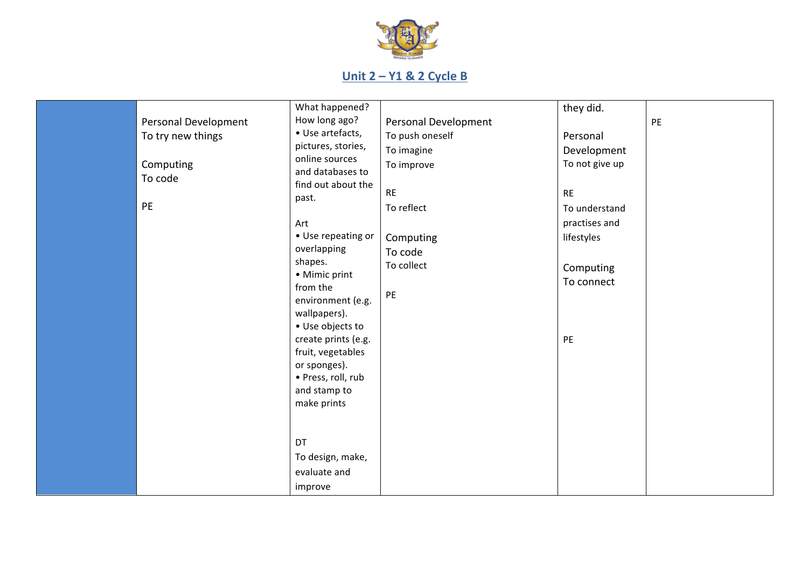

## **Unit 2 – Y1 & 2 Cycle B**

| Personal Development<br>To try new things<br>Computing<br>To code<br>PE | What happened?<br>How long ago?<br>• Use artefacts,<br>pictures, stories,<br>online sources<br>and databases to<br>find out about the<br>past.<br>Art<br>• Use repeating or<br>overlapping<br>shapes.<br>• Mimic print<br>from the<br>environment (e.g.<br>wallpapers).<br>• Use objects to<br>create prints (e.g.<br>fruit, vegetables<br>or sponges).<br>· Press, roll, rub | Personal Development<br>To push oneself<br>To imagine<br>To improve<br>RE<br>To reflect<br>Computing<br>To code<br>To collect<br>PE | they did.<br>Personal<br>Development<br>To not give up<br><b>RE</b><br>To understand<br>practises and<br>lifestyles<br>Computing<br>To connect<br>PE | PE |
|-------------------------------------------------------------------------|-------------------------------------------------------------------------------------------------------------------------------------------------------------------------------------------------------------------------------------------------------------------------------------------------------------------------------------------------------------------------------|-------------------------------------------------------------------------------------------------------------------------------------|------------------------------------------------------------------------------------------------------------------------------------------------------|----|
|                                                                         | and stamp to<br>make prints                                                                                                                                                                                                                                                                                                                                                   |                                                                                                                                     |                                                                                                                                                      |    |
|                                                                         | DT<br>To design, make,<br>evaluate and<br>improve                                                                                                                                                                                                                                                                                                                             |                                                                                                                                     |                                                                                                                                                      |    |